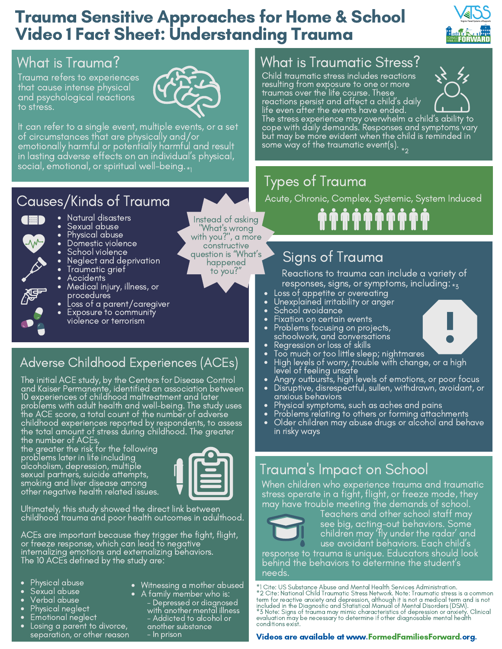# Trauma Sensitive Approaches for Home & School Video 1 Fact Sheet: Understanding Trauma



# What is Trauma?

Trauma refers to experiences that cause intense physical and psychological reactions to stress.



It can refer to a single event, multiple events, or a set of circumstances that are physically and/or emotionally harmful or potentially harmful and result in lasting adverse effects on an individual's physical, social, emotional, or spiritual well-being.  $_{\ast_{1}}$ 

# Causes/Kinds of Trauma

- Natural disasters  $\left( \left\Vert \mathbf{m}\right\Vert \right)$ 
	- Sexual abuse
		- Physical abuse
		- Domestic violence
		- School violence
		- Neglect and deprivation
		- Traumatic grief
		- Accidents
		- Medical injury, illness, or procedures
		- Loss of a parent/caregiver
		- Exposure to community violence or terrorism
- Adverse Childhood Experiences (ACEs)

The initial ACE study, by the Centers for Disease Control and Kaiser Permanente, identified an association between 10 experiences of childhood maltreatment and later problems with adult health and well-being. The study uses the ACE score, a total count of the number of adverse childhood experiences reported by respondents, to assess the total amount of stress during childhood. The greater the number of ACEs,

the greater the risk for the following problems later in life including alcoholism, depression, multiple sexual partners, suicide attempts, smoking and liver disease among other negative health related issues.



Ultimately, this study showed the direct link between childhood trauma and poor health outcomes in adulthood.

ACEs are important because they trigger the fight, flight, or freeze response, which can lead to negative internalizing emotions and externalizing behaviors. The 10 ACEs defined by the study are:

- Physical abuse
- Sexual abuse
- Verbal abuse
- Physical neglect
- Emotional neglect
- Losing a parent to divorce, separation, or other reason
- Witnessing a mother abused
	- A family member who is: Depressed or diagnosed with another mental illness - Addicted to alcohol or another substance

- In prison

#### What is Traumatic Stress?

Child traumatic stress includes reactions resulting from exposure to one or more traumas over the life course. These reactions persist and affect a child's daily life even after the events have ended.



The stress experience may overwhelm a child's ability to cope with daily demands. Responses and symptoms vary but may be more evident when the child is reminded in some way of the traumatic event(s).  $_{\ast_{2}}$ 

# Types of Trauma

Acute, Chronic, Complex, Systemic, System Induced

**゚゚゚゚゚゚゚゚ゖゕゕゕゕゕ** 

# Signs of Trauma

Reactions to trauma can include a variety of responses, signs, or symptoms, including:  $\overline{\cdot}_{z_{3}}$ 

- Loss of appetite or overeating
- Unexplained irritability or anger
- School avoidance
- Fixation on certain events
- Problems focusing on projects, schoolwork, and conversations
- Regression or loss of skills Too much or too little sleep; nightmares
- High levels of worry, trouble with change, or a high level of feeling unsafe
- Angry outbursts, high levels of emotions, or poor focus
- Disruptive, disrespectful, sullen, withdrawn, avoidant, or anxious behaviors
- Physical symptoms, such as aches and pains
- Problems relating to others or forming attachments
- Older children may abuse drugs or alcohol and behave in risky ways

## Trauma 's Impact on School

When children who experience trauma and traumatic stress operate in a fight, flight, or freeze mode, they may have trouble meeting the demands of school.



Teachers and other school staff may see big, acting-out behaviors. Some children may 'fly under the radar' and use avoidant behaviors. Each child's

response to trauma is unique. Educators should look behind the behaviors to determine the student's needs.

\*1 Cite: US Substance Abuse and Mental Health Services Administration.<br>\*2 Cite: National Child Traumatic Stress Network. Note: Traumatic stress is a common<br>term for reactive anxiety and depression, although it is not a med conditions exist.

#### Videos are available at www.FormedFamiliesForward.org.

Instead of asking "What's wrong with you?", a more constructive question is "What's happened

to you?"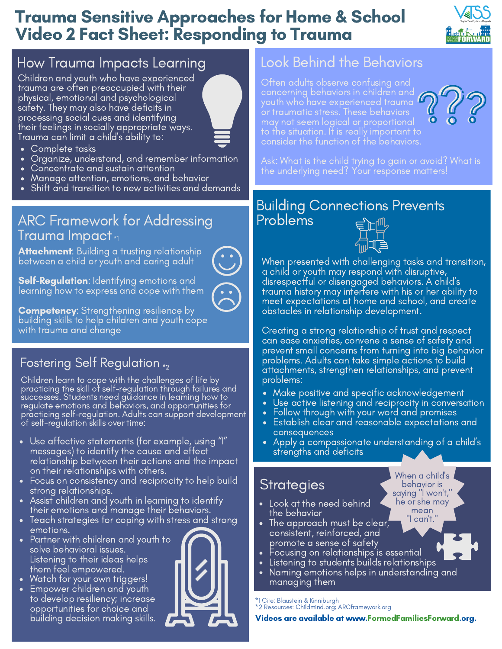# Trauma Sensitive Approaches for Home & School Video 2 Fact Sheet: Responding to Trauma



# How Trauma Impacts Learning

Children and youth who have experienced trauma are often preoccupied with their physical, emotional and psychological safety. They may also have deficits in processing social cues and identifying their feelings in socially appropriate ways. Trauma can limit a child's ability to:



- Complete tasks
- Organize, understand, and remember information
- Concentrate and sustain attention
- Manage attention, emotions, and behavior
- Shift and transition to new activities and demands

#### ARC Framework for Addressing Trauma Impact \*1

**Attachment:** Building a trusting relationship between a child or youth and caring adult



**Self-Regulation**: Identifying emotions and learning how to express and cope with them

**Competency:** Strengthening resilience by building skills to help children and youth cope with trauma and change

#### Fostering Self Regulation  $_{\ast_{2}}$

Children learn to cope with the challenges of life by practicing the skill of self-regulation through failures and successes. Students need guidance in learning how to regulate emotions and behaviors, and opportunities for practicing self-regulation. Adults can support development of self-regulation skills over time:

- Use affective statements (for example, using "I" messages) to identify the cause and effect relationship between their actions and the impact on their relationships with others.
- Focus on consistency and reciprocity to help build strong relationships.
- Assist children and youth in learning to identify their emotions and manage their behaviors.
- Teach strategies for coping with stress and strong emotions.
- Partner with children and youth to solve behavioral issues. Listening to their ideas helps them feel empowered.
- Watch for your own triggers!
- Empower children and youth to develop resiliency; increase opportunities for choice and building decision making skills.

### Look Behind the Behaviors

Often adults observe confusing and concerning behaviors in children and youth who have experienced trauma may not seem logical or proportional consider the function of the behaviors.



Ask: What is the child trying to gain or avoid? What is the underlying need? Your response matters!

#### Building Connections Prevents Problems



When presented with challenging tasks and transition, a child or youth may respond with disruptive, disrespectful or disengaged behaviors. A child's trauma history may interfere with his or <u>her ability to</u> meet expectations at home and school, and create obstacles in relationship development.

Creating a strong relationship of trust and respect can ease anxieties, convene a sense of safety and prevent small concerns from turning into big behavior problems. Adults can take simple actions to build attachments, strengthen relationships, and prevent problems:

- Make positive and specific acknowledgement
- Use active listening and reciprocity in conversation
- Follow through with your word and promises
- Establish clear and reasonable expectations and consequences
- Apply a compassionate understanding of a child's strengths and deficits

When a child's behavior is saying "I won't," he or she may mean "I can't."

# **Strategies**

- Look at the need behind the behavior
- The approach must be clear, consistent, reinforced, and promote a sense of safety
- Focusing on relationships is essential
- Listening to students builds relationships
- Naming emotions helps in understanding and managing them

\*1 Cite: Blaustein & Kinniburgh \*2 Resources: Childmind.org; ARCframework.org

Videos are available at www.FormedFamiliesForward.org.